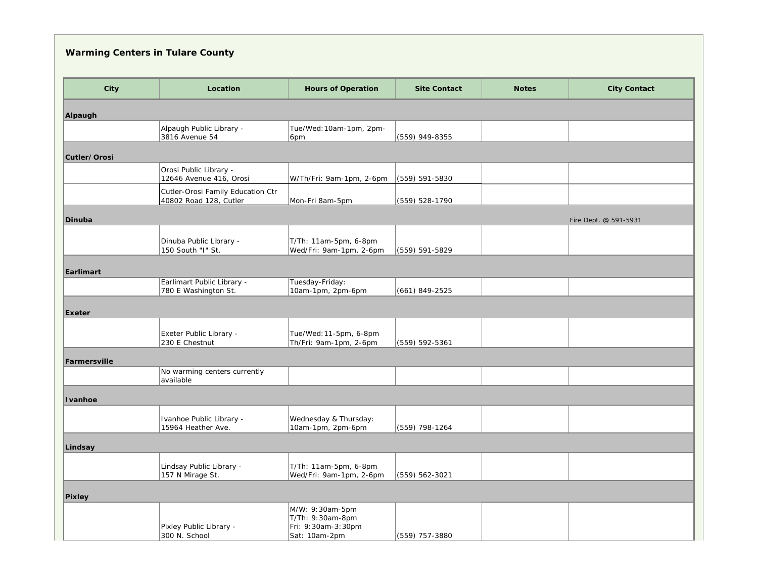## **Warming Centers in Tulare County**

| City         | Location                                                    | <b>Hours of Operation</b>                                                  | <b>Site Contact</b> | <b>Notes</b> | <b>City Contact</b>   |
|--------------|-------------------------------------------------------------|----------------------------------------------------------------------------|---------------------|--------------|-----------------------|
|              |                                                             |                                                                            |                     |              |                       |
| Alpaugh      |                                                             |                                                                            |                     |              |                       |
|              | Alpaugh Public Library -                                    | Tue/Wed: 10am-1pm, 2pm-                                                    |                     |              |                       |
|              | 3816 Avenue 54                                              | 6pm                                                                        | (559) 949-8355      |              |                       |
| Cutler/Orosi |                                                             |                                                                            |                     |              |                       |
|              | Orosi Public Library -<br>12646 Avenue 416, Orosi           | W/Th/Fri: 9am-1pm, 2-6pm                                                   | (559) 591-5830      |              |                       |
|              | Cutler-Orosi Family Education Ctr<br>40802 Road 128, Cutler | Mon-Fri 8am-5pm                                                            | (559) 528-1790      |              |                       |
| Dinuba       |                                                             |                                                                            |                     |              | Fire Dept. @ 591-5931 |
|              | Dinuba Public Library -<br>150 South "I" St.                | T/Th: 11am-5pm, 6-8pm<br>Wed/Fri: 9am-1pm, 2-6pm                           | (559) 591-5829      |              |                       |
|              |                                                             |                                                                            |                     |              |                       |
| Earlimart    |                                                             |                                                                            |                     |              |                       |
|              | Earlimart Public Library -<br>780 E Washington St.          | Tuesday-Friday:<br>10am-1pm, 2pm-6pm                                       | $(661) 849 - 2525$  |              |                       |
| Exeter       |                                                             |                                                                            |                     |              |                       |
|              | Exeter Public Library -<br>230 E Chestnut                   | Tue/Wed: 11-5pm, 6-8pm<br>Th/Fri: 9am-1pm, 2-6pm                           | (559) 592-5361      |              |                       |
| Farmersville |                                                             |                                                                            |                     |              |                       |
|              | No warming centers currently<br>available                   |                                                                            |                     |              |                       |
| Ivanhoe      |                                                             |                                                                            |                     |              |                       |
|              | Ivanhoe Public Library -<br>15964 Heather Ave.              | Wednesday & Thursday:<br>10am-1pm, 2pm-6pm                                 | (559) 798-1264      |              |                       |
| Lindsay      |                                                             |                                                                            |                     |              |                       |
|              |                                                             |                                                                            |                     |              |                       |
|              | Lindsay Public Library -<br>157 N Mirage St.                | T/Th: 11am-5pm, 6-8pm<br>Wed/Fri: 9am-1pm, 2-6pm                           | (559) 562-3021      |              |                       |
| Pixley       |                                                             |                                                                            |                     |              |                       |
|              | Pixley Public Library -<br>300 N. School                    | M/W: 9:30am-5pm<br>T/Th: 9:30am-8pm<br>Fri: 9:30am-3:30pm<br>Sat: 10am-2pm | (559) 757-3880      |              |                       |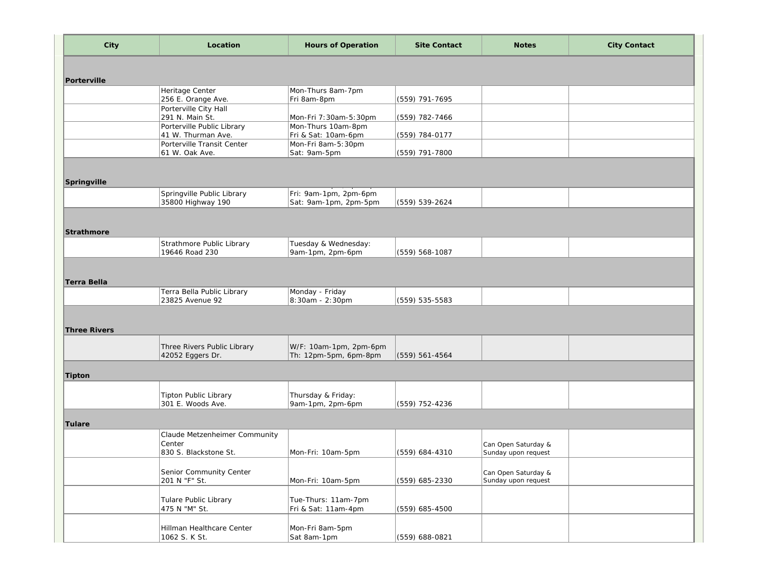| City                | Location                                 | <b>Hours of Operation</b> | <b>Site Contact</b> | <b>Notes</b>        | <b>City Contact</b> |
|---------------------|------------------------------------------|---------------------------|---------------------|---------------------|---------------------|
|                     |                                          |                           |                     |                     |                     |
| Porterville         |                                          |                           |                     |                     |                     |
|                     | Heritage Center                          | Mon-Thurs 8am-7pm         |                     |                     |                     |
|                     | 256 E. Orange Ave.                       | Fri 8am-8pm               | (559) 791-7695      |                     |                     |
|                     | Porterville City Hall<br>291 N. Main St. | Mon-Fri 7:30am-5:30pm     | (559) 782-7466      |                     |                     |
|                     | Porterville Public Library               | Mon-Thurs 10am-8pm        |                     |                     |                     |
|                     | 41 W. Thurman Ave.                       | Fri & Sat: 10am-6pm       | (559) 784-0177      |                     |                     |
|                     | Porterville Transit Center               | Mon-Fri 8am-5:30pm        |                     |                     |                     |
|                     | 61 W. Oak Ave.                           | Sat: 9am-5pm              | (559) 791-7800      |                     |                     |
|                     |                                          |                           |                     |                     |                     |
|                     |                                          |                           |                     |                     |                     |
| Springville         |                                          |                           |                     |                     |                     |
|                     | Springville Public Library               | Fri: 9am-1pm, 2pm-6pm     |                     |                     |                     |
|                     | 35800 Highway 190                        | Sat: 9am-1pm, 2pm-5pm     | (559) 539-2624      |                     |                     |
|                     |                                          |                           |                     |                     |                     |
|                     |                                          |                           |                     |                     |                     |
| Strathmore          |                                          |                           |                     |                     |                     |
|                     | Strathmore Public Library                | Tuesday & Wednesday:      |                     |                     |                     |
|                     | 19646 Road 230                           | 9am-1pm, 2pm-6pm          | (559) 568-1087      |                     |                     |
|                     |                                          |                           |                     |                     |                     |
|                     |                                          |                           |                     |                     |                     |
| Terra Bella         |                                          |                           |                     |                     |                     |
|                     | Terra Bella Public Library               | Monday - Friday           |                     |                     |                     |
|                     | 23825 Avenue 92                          | 8:30am - 2:30pm           | (559) 535-5583      |                     |                     |
|                     |                                          |                           |                     |                     |                     |
|                     |                                          |                           |                     |                     |                     |
| <b>Three Rivers</b> |                                          |                           |                     |                     |                     |
|                     | Three Rivers Public Library              | W/F: 10am-1pm, 2pm-6pm    |                     |                     |                     |
|                     | 42052 Eggers Dr.                         | Th: 12pm-5pm, 6pm-8pm     | $(559) 561 - 4564$  |                     |                     |
|                     |                                          |                           |                     |                     |                     |
| Tipton              |                                          |                           |                     |                     |                     |
|                     |                                          |                           |                     |                     |                     |
|                     | <b>Tipton Public Library</b>             | Thursday & Friday:        |                     |                     |                     |
|                     | 301 E. Woods Ave.                        | 9am-1pm, 2pm-6pm          | (559) 752-4236      |                     |                     |
|                     |                                          |                           |                     |                     |                     |
| Tulare              |                                          |                           |                     |                     |                     |
|                     | Claude Metzenheimer Community            |                           |                     |                     |                     |
|                     | Center                                   |                           |                     | Can Open Saturday & |                     |
|                     | 830 S. Blackstone St.                    | Mon-Fri: 10am-5pm         | (559) 684-4310      | Sunday upon request |                     |
|                     |                                          |                           |                     |                     |                     |
|                     | Senior Community Center                  |                           |                     | Can Open Saturday & |                     |
|                     | 201 N "F" St.                            | Mon-Fri: 10am-5pm         | (559) 685-2330      | Sunday upon request |                     |
|                     |                                          |                           |                     |                     |                     |
|                     | Tulare Public Library                    | Tue-Thurs: 11am-7pm       |                     |                     |                     |
|                     | 475 N "M" St.                            | Fri & Sat: 11am-4pm       | (559) 685-4500      |                     |                     |
|                     |                                          |                           |                     |                     |                     |
|                     | Hillman Healthcare Center                | Mon-Fri 8am-5pm           |                     |                     |                     |
|                     | 1062 S. K St.                            | Sat 8am-1pm               | (559) 688-0821      |                     |                     |